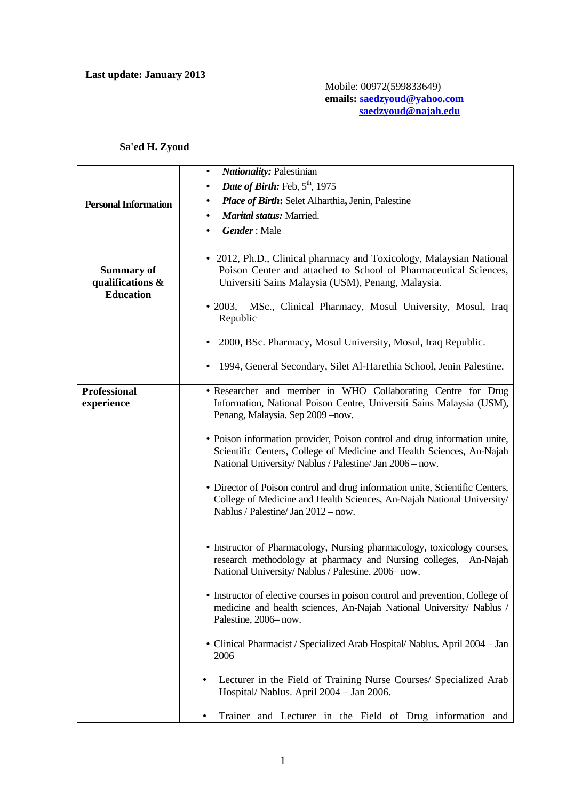## **Sa'ed H. Zyoud**

|                                                           | <b>Nationality: Palestinian</b><br>$\bullet$                                                                                                                                                                                                                               |
|-----------------------------------------------------------|----------------------------------------------------------------------------------------------------------------------------------------------------------------------------------------------------------------------------------------------------------------------------|
|                                                           | Date of Birth: Feb, 5 <sup>th</sup> , 1975<br>$\bullet$                                                                                                                                                                                                                    |
| <b>Personal Information</b>                               | Place of Birth: Selet Alharthia, Jenin, Palestine                                                                                                                                                                                                                          |
|                                                           | <b>Marital status: Married.</b>                                                                                                                                                                                                                                            |
|                                                           | <b>Gender</b> : Male<br>٠                                                                                                                                                                                                                                                  |
| <b>Summary of</b><br>qualifications &<br><b>Education</b> | • 2012, Ph.D., Clinical pharmacy and Toxicology, Malaysian National<br>Poison Center and attached to School of Pharmaceutical Sciences,<br>Universiti Sains Malaysia (USM), Penang, Malaysia.<br>MSc., Clinical Pharmacy, Mosul University, Mosul, Iraq<br>$\bullet$ 2003, |
|                                                           | Republic                                                                                                                                                                                                                                                                   |
|                                                           | 2000, BSc. Pharmacy, Mosul University, Mosul, Iraq Republic.                                                                                                                                                                                                               |
|                                                           | 1994, General Secondary, Silet Al-Harethia School, Jenin Palestine.                                                                                                                                                                                                        |
| <b>Professional</b><br>experience                         | • Researcher and member in WHO Collaborating Centre for Drug<br>Information, National Poison Centre, Universiti Sains Malaysia (USM),<br>Penang, Malaysia. Sep 2009 - now.                                                                                                 |
|                                                           | • Poison information provider, Poison control and drug information unite,<br>Scientific Centers, College of Medicine and Health Sciences, An-Najah<br>National University/Nablus / Palestine/Jan 2006 - now.                                                               |
|                                                           | • Director of Poison control and drug information unite, Scientific Centers,<br>College of Medicine and Health Sciences, An-Najah National University/<br>Nablus / Palestine/ Jan 2012 - now.                                                                              |
|                                                           | • Instructor of Pharmacology, Nursing pharmacology, toxicology courses,<br>research methodology at pharmacy and Nursing colleges,<br>An-Najah<br>National University/Nablus / Palestine. 2006-now.                                                                         |
|                                                           | • Instructor of elective courses in poison control and prevention, College of<br>medicine and health sciences, An-Najah National University/ Nablus /<br>Palestine, 2006-now.                                                                                              |
|                                                           | • Clinical Pharmacist / Specialized Arab Hospital/ Nablus. April 2004 - Jan<br>2006                                                                                                                                                                                        |
|                                                           | Lecturer in the Field of Training Nurse Courses/ Specialized Arab<br>$\bullet$<br>Hospital/ Nablus. April 2004 - Jan 2006.                                                                                                                                                 |
|                                                           | Trainer and Lecturer in the Field of Drug information and<br>٠                                                                                                                                                                                                             |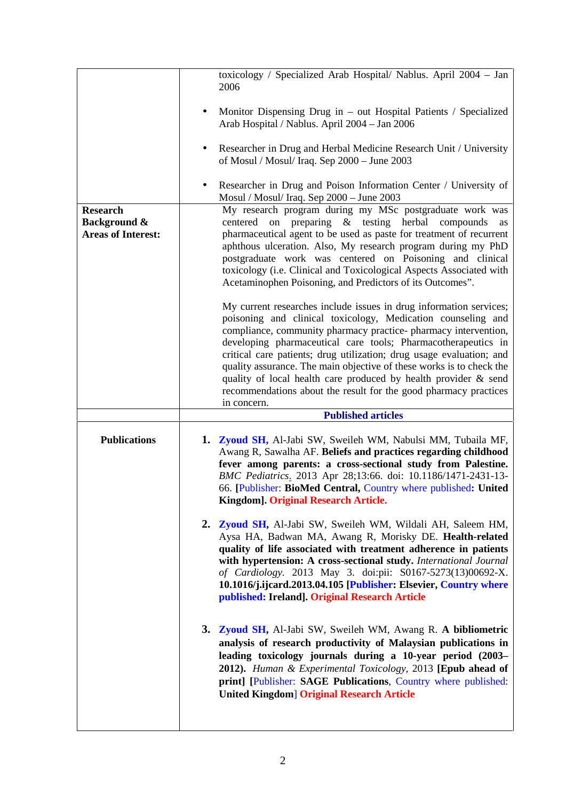|                                                                         | toxicology / Specialized Arab Hospital/ Nablus. April 2004 - Jan<br>2006                                                                                                                                                                                                                                                                                                                                                                                                                                                                                                     |
|-------------------------------------------------------------------------|------------------------------------------------------------------------------------------------------------------------------------------------------------------------------------------------------------------------------------------------------------------------------------------------------------------------------------------------------------------------------------------------------------------------------------------------------------------------------------------------------------------------------------------------------------------------------|
|                                                                         | Monitor Dispensing Drug in – out Hospital Patients / Specialized<br>٠<br>Arab Hospital / Nablus. April 2004 - Jan 2006                                                                                                                                                                                                                                                                                                                                                                                                                                                       |
|                                                                         | Researcher in Drug and Herbal Medicine Research Unit / University<br>٠<br>of Mosul / Mosul/ Iraq. Sep 2000 - June 2003                                                                                                                                                                                                                                                                                                                                                                                                                                                       |
|                                                                         | Researcher in Drug and Poison Information Center / University of<br>٠<br>Mosul / Mosul/ Iraq. Sep 2000 - June 2003                                                                                                                                                                                                                                                                                                                                                                                                                                                           |
| <b>Research</b><br><b>Background &amp;</b><br><b>Areas of Interest:</b> | My research program during my MSc postgraduate work was<br>centered on preparing & testing herbal compounds<br>as<br>pharmaceutical agent to be used as paste for treatment of recurrent<br>aphthous ulceration. Also, My research program during my PhD<br>postgraduate work was centered on Poisoning and clinical<br>toxicology (i.e. Clinical and Toxicological Aspects Associated with<br>Acetaminophen Poisoning, and Predictors of its Outcomes".                                                                                                                     |
|                                                                         | My current researches include issues in drug information services;<br>poisoning and clinical toxicology, Medication counseling and<br>compliance, community pharmacy practice- pharmacy intervention,<br>developing pharmaceutical care tools; Pharmacotherapeutics in<br>critical care patients; drug utilization; drug usage evaluation; and<br>quality assurance. The main objective of these works is to check the<br>quality of local health care produced by health provider & send<br>recommendations about the result for the good pharmacy practices<br>in concern. |
|                                                                         | <b>Published articles</b>                                                                                                                                                                                                                                                                                                                                                                                                                                                                                                                                                    |
| <b>Publications</b>                                                     | 1. Zyoud SH, Al-Jabi SW, Sweileh WM, Nabulsi MM, Tubaila MF,<br>Awang R, Sawalha AF. Beliefs and practices regarding childhood<br>fever among parents: a cross-sectional study from Palestine.<br>BMC Pediatrics. 2013 Apr 28;13:66. doi: 10.1186/1471-2431-13-<br>66. [Publisher: BioMed Central, Country where published: United<br>Kingdom]. Original Research Article.                                                                                                                                                                                                   |
|                                                                         | 2. Zyoud SH, Al-Jabi SW, Sweileh WM, Wildali AH, Saleem HM,<br>Aysa HA, Badwan MA, Awang R, Morisky DE. Health-related<br>quality of life associated with treatment adherence in patients<br>with hypertension: A cross-sectional study. International Journal<br>of Cardiology. 2013 May 3. doi:pii: S0167-5273(13)00692-X.<br>10.1016/j.ijcard.2013.04.105 [Publisher: Elsevier, Country where<br>published: Ireland]. Original Research Article                                                                                                                           |
|                                                                         | 3. Zyoud SH, Al-Jabi SW, Sweileh WM, Awang R. A bibliometric<br>analysis of research productivity of Malaysian publications in<br>leading toxicology journals during a 10-year period (2003-                                                                                                                                                                                                                                                                                                                                                                                 |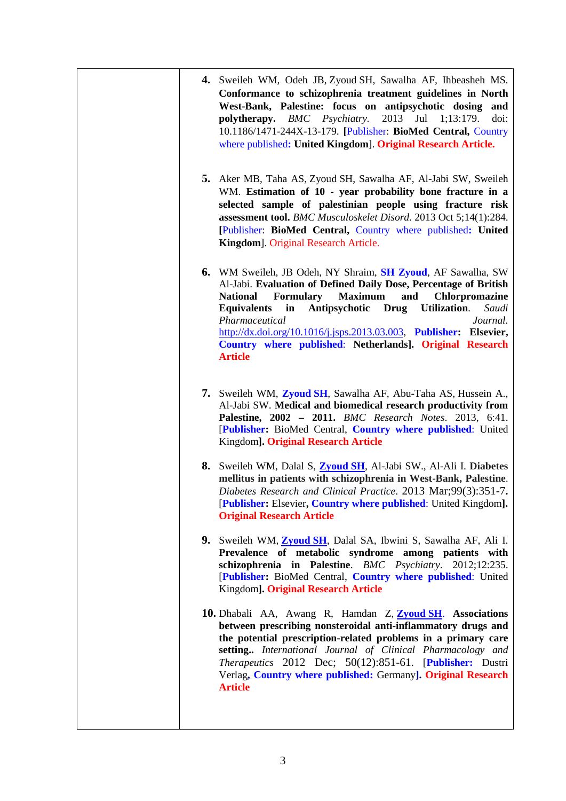| 4. Sweileh WM, Odeh JB, Zyoud SH, Sawalha AF, Ihbeasheh MS.<br>Conformance to schizophrenia treatment guidelines in North<br>West-Bank, Palestine: focus on antipsychotic dosing and<br>polytherapy. BMC Psychiatry.<br>2013 Jul 1;13:179.<br>doi:<br>10.1186/1471-244X-13-179. [Publisher: BioMed Central, Country<br>where published: United Kingdom]. Original Research Article.                                                                                                |  |
|------------------------------------------------------------------------------------------------------------------------------------------------------------------------------------------------------------------------------------------------------------------------------------------------------------------------------------------------------------------------------------------------------------------------------------------------------------------------------------|--|
| 5. Aker MB, Taha AS, Zyoud SH, Sawalha AF, Al-Jabi SW, Sweileh<br>WM. Estimation of 10 - year probability bone fracture in a<br>selected sample of palestinian people using fracture risk<br>assessment tool. BMC Musculoskelet Disord. 2013 Oct 5;14(1):284.<br>[Publisher: BioMed Central, Country where published: United<br>Kingdom]. Original Research Article.                                                                                                               |  |
| 6. WM Sweileh, JB Odeh, NY Shraim, SH Zyoud, AF Sawalha, SW<br>Al-Jabi. Evaluation of Defined Daily Dose, Percentage of British<br>Formulary<br><b>Maximum</b><br><b>National</b><br>and<br>Chlorpromazine<br><b>Equivalents</b><br>$\mathbf{in}$<br>Antipsychotic Drug<br>Utilization.<br>Saudi<br>Pharmaceutical<br>Journal.<br>http://dx.doi.org/10.1016/j.jsps.2013.03.003, Publisher: Elsevier,<br>Country where published: Netherlands]. Original Research<br><b>Article</b> |  |
| 7. Sweileh WM, Zyoud SH, Sawalha AF, Abu-Taha AS, Hussein A.,<br>Al-Jabi SW. Medical and biomedical research productivity from<br>Palestine, 2002 - 2011. BMC Research Notes. 2013, 6:41.<br>[Publisher: BioMed Central, Country where published: United<br>Kingdom]. Original Research Article                                                                                                                                                                                    |  |
| 8. Sweileh WM, Dalal S, Zyoud SH, Al-Jabi SW., Al-Ali I. Diabetes<br>mellitus in patients with schizophrenia in West-Bank, Palestine.<br>Diabetes Research and Clinical Practice. 2013 Mar;99(3):351-7.<br>[Publisher: Elsevier, Country where published: United Kingdom].<br><b>Original Research Article</b>                                                                                                                                                                     |  |
| 9. Sweileh WM, Zyoud SH, Dalal SA, Ibwini S, Sawalha AF, Ali I.<br>Prevalence of metabolic syndrome among patients with<br>schizophrenia in Palestine. BMC Psychiatry. 2012;12:235.<br>[Publisher: BioMed Central, Country where published: United<br>Kingdom]. Original Research Article                                                                                                                                                                                          |  |
| 10. Dhabali AA, Awang R, Hamdan Z, Zyoud SH. Associations<br>between prescribing nonsteroidal anti-inflammatory drugs and<br>the potential prescription-related problems in a primary care<br>setting International Journal of Clinical Pharmacology and<br>Therapeutics 2012 Dec; 50(12):851-61. [Publisher: Dustri<br>Verlag, Country where published: Germany]. Original Research<br><b>Article</b>                                                                             |  |
|                                                                                                                                                                                                                                                                                                                                                                                                                                                                                    |  |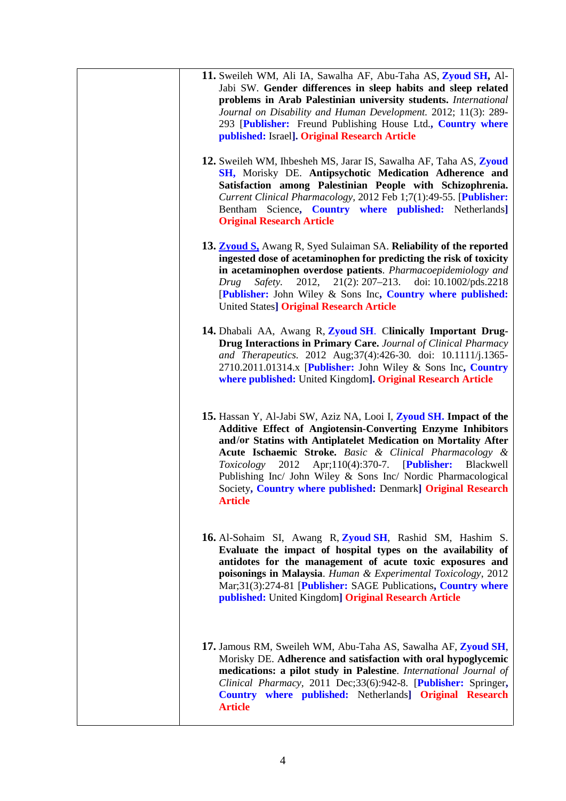| 11. Sweileh WM, Ali IA, Sawalha AF, Abu-Taha AS, Zyoud SH, Al-<br>Jabi SW. Gender differences in sleep habits and sleep related<br>problems in Arab Palestinian university students. International<br>Journal on Disability and Human Development. 2012; 11(3): 289-<br>293 [Publisher: Freund Publishing House Ltd., Country where<br>published: Israel]. Original Research Article                                                                                                      |  |
|-------------------------------------------------------------------------------------------------------------------------------------------------------------------------------------------------------------------------------------------------------------------------------------------------------------------------------------------------------------------------------------------------------------------------------------------------------------------------------------------|--|
| 12. Sweileh WM, Ihbesheh MS, Jarar IS, Sawalha AF, Taha AS, Zyoud<br>SH, Morisky DE. Antipsychotic Medication Adherence and<br>Satisfaction among Palestinian People with Schizophrenia.<br>Current Clinical Pharmacology, 2012 Feb 1;7(1):49-55. [Publisher:<br>Bentham Science, Country where published: Netherlands]<br><b>Original Research Article</b>                                                                                                                               |  |
| 13. <b>Zyoud S</b> , Awang R, Syed Sulaiman SA. Reliability of the reported<br>ingested dose of acetaminophen for predicting the risk of toxicity<br>in acetaminophen overdose patients. Pharmacoepidemiology and<br>2012,<br>$21(2): 207 - 213.$<br>doi: 10.1002/pds.2218<br>Safety.<br>Drug<br>[Publisher: John Wiley & Sons Inc, Country where published:<br><b>United States] Original Research Article</b>                                                                           |  |
| 14. Dhabali AA, Awang R, Zyoud SH. Clinically Important Drug-<br><b>Drug Interactions in Primary Care. Journal of Clinical Pharmacy</b><br>and Therapeutics. 2012 Aug;37(4):426-30. doi: 10.1111/j.1365-<br>2710.2011.01314.x [Publisher: John Wiley & Sons Inc, Country<br>where published: United Kingdom]. Original Research Article                                                                                                                                                   |  |
| 15. Hassan Y, Al-Jabi SW, Aziz NA, Looi I, Zyoud SH. Impact of the<br><b>Additive Effect of Angiotensin-Converting Enzyme Inhibitors</b><br>and/or Statins with Antiplatelet Medication on Mortality After<br>Acute Ischaemic Stroke. Basic & Clinical Pharmacology &<br>2012 Apr;110(4):370-7. [Publisher:<br>Blackwell<br>Toxicology<br>Publishing Inc/ John Wiley & Sons Inc/ Nordic Pharmacological<br>Society, Country where published: Denmark] Original Research<br><b>Article</b> |  |
| 16. Al-Sohaim SI, Awang R, Zyoud SH, Rashid SM, Hashim S.<br>Evaluate the impact of hospital types on the availability of<br>antidotes for the management of acute toxic exposures and<br>poisonings in Malaysia. Human & Experimental Toxicology, 2012<br>Mar;31(3):274-81 [Publisher: SAGE Publications, Country where<br>published: United Kingdom] Original Research Article                                                                                                          |  |
| 17. Jamous RM, Sweileh WM, Abu-Taha AS, Sawalha AF, Zyoud SH,<br>Morisky DE. Adherence and satisfaction with oral hypoglycemic<br>medications: a pilot study in Palestine. International Journal of<br>Clinical Pharmacy, 2011 Dec;33(6):942-8. [Publisher: Springer,<br>Country where published: Netherlands] Original Research<br><b>Article</b>                                                                                                                                        |  |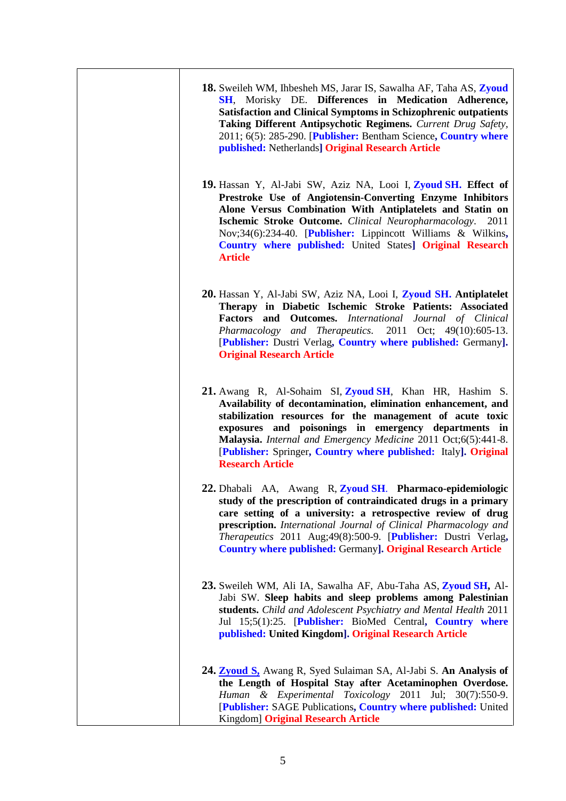| <b>18.</b> Sweileh WM, Ihbesheh MS, Jarar IS, Sawalha AF, Taha AS, Zyoud<br>SH, Morisky DE. Differences in Medication Adherence,<br><b>Satisfaction and Clinical Symptoms in Schizophrenic outpatients</b><br>Taking Different Antipsychotic Regimens. Current Drug Safety,<br>2011; 6(5): 285-290. [Publisher: Bentham Science, Country where<br>published: Netherlands] Original Research Article           |
|---------------------------------------------------------------------------------------------------------------------------------------------------------------------------------------------------------------------------------------------------------------------------------------------------------------------------------------------------------------------------------------------------------------|
| 19. Hassan Y, Al-Jabi SW, Aziz NA, Looi I, Zyoud SH. Effect of<br>Prestroke Use of Angiotensin-Converting Enzyme Inhibitors<br>Alone Versus Combination With Antiplatelets and Statin on<br>Ischemic Stroke Outcome. Clinical Neuropharmacology. 2011<br>Nov;34(6):234-40. [Publisher: Lippincott Williams & Wilkins,<br>Country where published: United States] Original Research<br><b>Article</b>          |
| 20. Hassan Y, Al-Jabi SW, Aziz NA, Looi I, Zyoud SH. Antiplatelet<br>Therapy in Diabetic Ischemic Stroke Patients: Associated<br>Factors and Outcomes. International Journal of Clinical<br>Pharmacology and Therapeutics. 2011 Oct; 49(10):605-13.<br>[Publisher: Dustri Verlag, Country where published: Germany].<br><b>Original Research Article</b>                                                      |
| 21. Awang R, Al-Sohaim SI, Zyoud SH, Khan HR, Hashim S.<br>Availability of decontamination, elimination enhancement, and<br>stabilization resources for the management of acute toxic<br>exposures and poisonings in emergency departments in<br>Malaysia. Internal and Emergency Medicine 2011 Oct;6(5):441-8.<br>[Publisher: Springer, Country where published: Italy]. Original<br><b>Research Article</b> |
| 22. Dhabali AA, Awang R, Zyoud SH. Pharmaco-epidemiologic<br>study of the prescription of contraindicated drugs in a primary<br>care setting of a university: a retrospective review of drug<br>prescription. International Journal of Clinical Pharmacology and<br>Therapeutics 2011 Aug;49(8):500-9. [Publisher: Dustri Verlag,<br><b>Country where published: Germany]. Original Research Article</b>      |
| 23. Sweileh WM, Ali IA, Sawalha AF, Abu-Taha AS, Zyoud SH, Al-<br>Jabi SW. Sleep habits and sleep problems among Palestinian<br>students. Child and Adolescent Psychiatry and Mental Health 2011<br>Jul 15;5(1):25. [Publisher: BioMed Central, Country where<br>published: United Kingdom]. Original Research Article                                                                                        |
| 24. Zyoud S. Awang R, Syed Sulaiman SA, Al-Jabi S. An Analysis of<br>the Length of Hospital Stay after Acetaminophen Overdose.<br>Human & Experimental Toxicology 2011 Jul; 30(7):550-9.<br>[Publisher: SAGE Publications, Country where published: United<br>Kingdom] Original Research Article                                                                                                              |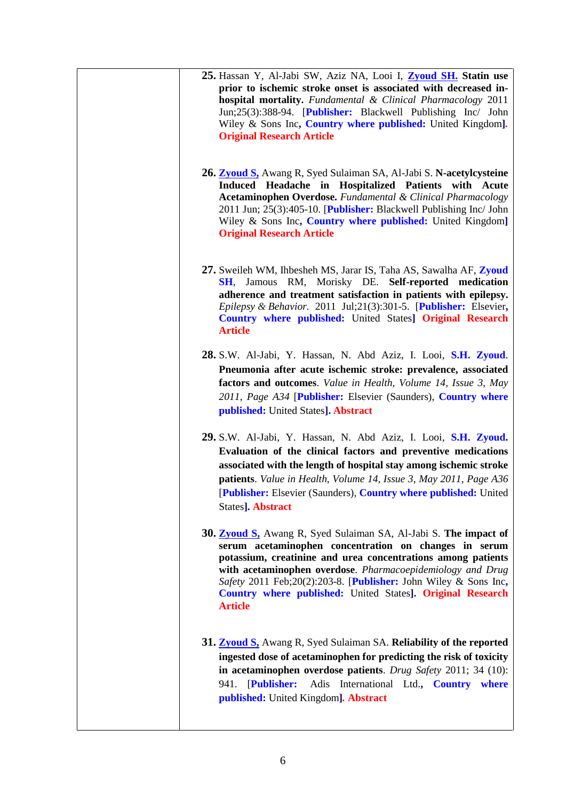| 25. Hassan Y, Al-Jabi SW, Aziz NA, Looi I, <b>Zyoud SH</b> , Statin use<br>prior to ischemic stroke onset is associated with decreased in-<br><b>hospital mortality.</b> Fundamental & Clinical Pharmacology 2011<br>Jun;25(3):388-94. [Publisher: Blackwell Publishing Inc/ John<br>Wiley & Sons Inc, Country where published: United Kingdom].                                                                   |
|--------------------------------------------------------------------------------------------------------------------------------------------------------------------------------------------------------------------------------------------------------------------------------------------------------------------------------------------------------------------------------------------------------------------|
| <b>Original Research Article</b><br><b>26. Zyoud S,</b> Awang R, Syed Sulaiman SA, Al-Jabi S. N-acetylcysteine<br>Induced Headache in Hospitalized Patients with Acute<br>Acetaminophen Overdose. Fundamental & Clinical Pharmacology<br>2011 Jun; 25(3):405-10. [Publisher: Blackwell Publishing Inc/ John<br>Wiley & Sons Inc, Country where published: United Kingdom]<br><b>Original Research Article</b>      |
| 27. Sweileh WM, Ihbesheh MS, Jarar IS, Taha AS, Sawalha AF, Zyoud<br><b>SH</b> , Jamous RM, Morisky DE. Self-reported medication<br>adherence and treatment satisfaction in patients with epilepsy.<br>Epilepsy & Behavior. 2011 Jul;21(3):301-5. [Publisher: Elsevier,<br><b>Country where published:</b> United States] <b>Original Research</b><br><b>Article</b>                                               |
| 28. S.W. Al-Jabi, Y. Hassan, N. Abd Aziz, I. Looi, S.H. Zyoud.<br>Pneumonia after acute ischemic stroke: prevalence, associated<br>factors and outcomes. Value in Health, Volume 14, Issue 3, May<br>2011, Page A34 [Publisher: Elsevier (Saunders), Country where<br>published: United States]. Abstract                                                                                                          |
| 29. S.W. Al-Jabi, Y. Hassan, N. Abd Aziz, I. Looi, S.H. Zyoud.<br>Evaluation of the clinical factors and preventive medications<br>associated with the length of hospital stay among ischemic stroke<br>patients. Value in Health, Volume 14, Issue 3, May 2011, Page A36<br>[Publisher: Elsevier (Saunders), Country where published: United<br>States]. Abstract                                                 |
| 30. <b>Zyoud S</b> , Awang R, Syed Sulaiman SA, Al-Jabi S. The impact of<br>serum acetaminophen concentration on changes in serum<br>potassium, creatinine and urea concentrations among patients<br>with acetaminophen overdose. Pharmacoepidemiology and Drug<br>Safety 2011 Feb;20(2):203-8. [Publisher: John Wiley & Sons Inc,<br>Country where published: United States]. Original Research<br><b>Article</b> |
| 31. <b>Zyoud S</b> , Awang R, Syed Sulaiman SA. Reliability of the reported<br>ingested dose of acetaminophen for predicting the risk of toxicity<br>in acetaminophen overdose patients. Drug Safety 2011; 34 (10):<br>941. [Publisher: Adis International Ltd., Country where<br>published: United Kingdom]. Abstract                                                                                             |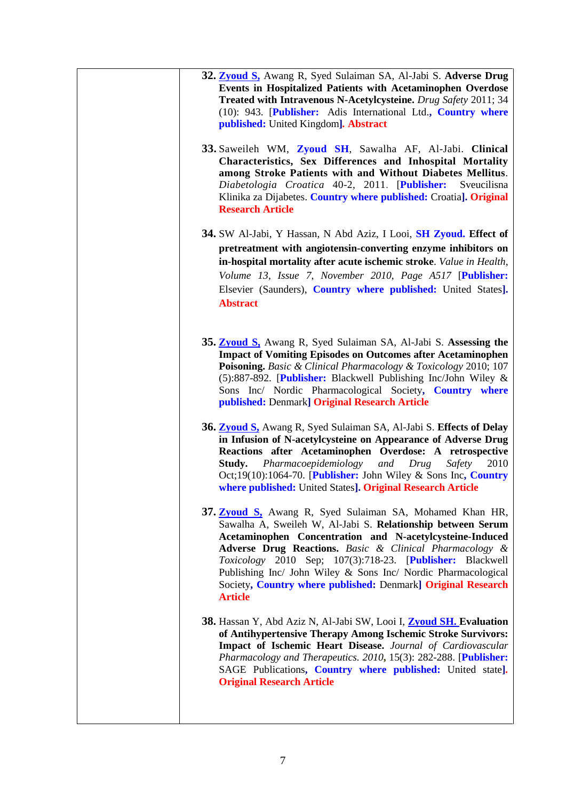| 32. Zyoud S, Awang R, Syed Sulaiman SA, Al-Jabi S. Adverse Drug<br><b>Events in Hospitalized Patients with Acetaminophen Overdose</b><br>Treated with Intravenous N-Acetylcysteine. Drug Safety 2011; 34<br>(10): 943. [Publisher: Adis International Ltd., Country where<br>published: United Kingdom]. Abstract                                                                                                                                                      |
|------------------------------------------------------------------------------------------------------------------------------------------------------------------------------------------------------------------------------------------------------------------------------------------------------------------------------------------------------------------------------------------------------------------------------------------------------------------------|
| 33. Saweileh WM, Zyoud SH, Sawalha AF, Al-Jabi. Clinical<br>Characteristics, Sex Differences and Inhospital Mortality<br>among Stroke Patients with and Without Diabetes Mellitus.<br>Diabetologia Croatica 40-2, 2011. [Publisher:<br>Sveucilisna<br>Klinika za Dijabetes. Country where published: Croatia]. Original<br><b>Research Article</b>                                                                                                                     |
| 34. SW Al-Jabi, Y Hassan, N Abd Aziz, I Looi, SH Zyoud. Effect of<br>pretreatment with angiotensin-converting enzyme inhibitors on<br>in-hospital mortality after acute ischemic stroke. Value in Health,<br>Volume 13, Issue 7, November 2010, Page A517 [Publisher:<br>Elsevier (Saunders), Country where published: United States].<br><b>Abstract</b>                                                                                                              |
| 35. <b>Zyoud S</b> , Awang R, Syed Sulaiman SA, Al-Jabi S. Assessing the<br><b>Impact of Vomiting Episodes on Outcomes after Acetaminophen</b><br>Poisoning. Basic & Clinical Pharmacology & Toxicology 2010; 107<br>(5):887-892. [Publisher: Blackwell Publishing Inc/John Wiley &<br>Sons Inc/ Nordic Pharmacological Society, Country where<br>published: Denmark] Original Research Article                                                                        |
| 36. <b>Zyoud S.</b> Awang R, Syed Sulaiman SA, Al-Jabi S. Effects of Delay<br>in Infusion of N-acetylcysteine on Appearance of Adverse Drug<br>Reactions after Acetaminophen Overdose: A retrospective<br>Pharmacoepidemiology<br>Study.<br>and<br>Drug<br>Safety<br>2010<br>Oct; $19(10):1064-70$ . [Publisher: John Wiley & Sons Inc, Country<br>where published: United States]. Original Research Article                                                          |
| 37. <b>Zyoud S</b> , Awang R, Syed Sulaiman SA, Mohamed Khan HR,<br>Sawalha A, Sweileh W, Al-Jabi S. Relationship between Serum<br>Acetaminophen Concentration and N-acetylcysteine-Induced<br>Adverse Drug Reactions. Basic & Clinical Pharmacology &<br>Toxicology 2010 Sep; 107(3):718-23. [Publisher: Blackwell<br>Publishing Inc/ John Wiley & Sons Inc/ Nordic Pharmacological<br>Society, Country where published: Denmark] Original Research<br><b>Article</b> |
| 38. Hassan Y, Abd Aziz N, Al-Jabi SW, Looi I, <b>Zyoud SH. Evaluation</b><br>of Antihypertensive Therapy Among Ischemic Stroke Survivors:<br>Impact of Ischemic Heart Disease. Journal of Cardiovascular<br>Pharmacology and Therapeutics. 2010, 15(3): 282-288. [Publisher:<br>SAGE Publications, Country where published: United state].<br><b>Original Research Article</b>                                                                                         |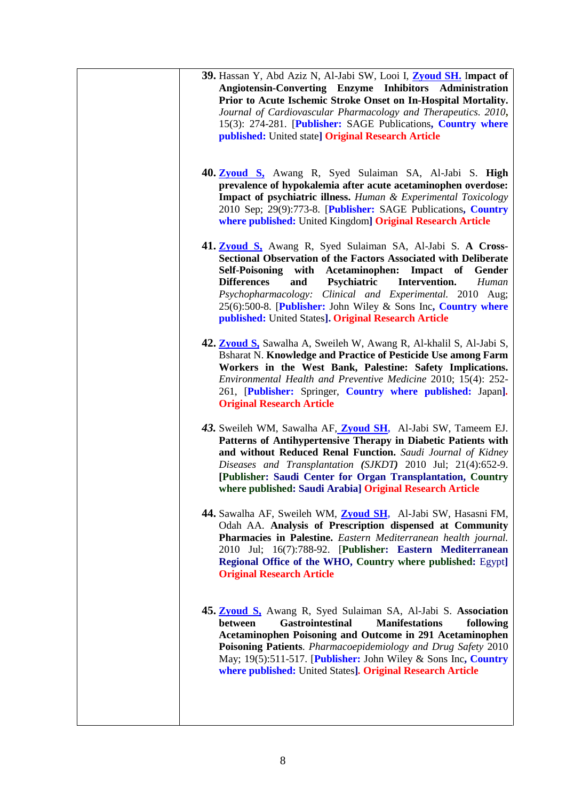| 39. Hassan Y, Abd Aziz N, Al-Jabi SW, Looi I, <b>Zyoud SH</b> . Impact of<br>Angiotensin-Converting Enzyme Inhibitors Administration<br>Prior to Acute Ischemic Stroke Onset on In-Hospital Mortality.<br>Journal of Cardiovascular Pharmacology and Therapeutics. 2010,<br>15(3): 274-281. [Publisher: SAGE Publications, Country where<br>published: United state] Original Research Article                                                                                  |
|---------------------------------------------------------------------------------------------------------------------------------------------------------------------------------------------------------------------------------------------------------------------------------------------------------------------------------------------------------------------------------------------------------------------------------------------------------------------------------|
| 40. Zyoud S. Awang R, Syed Sulaiman SA, Al-Jabi S. High<br>prevalence of hypokalemia after acute acetaminophen overdose:<br><b>Impact of psychiatric illness.</b> Human & Experimental Toxicology<br>2010 Sep; 29(9):773-8. [Publisher: SAGE Publications, Country<br>where published: United Kingdom] Original Research Article                                                                                                                                                |
| 41. <b>Zyoud S</b> , Awang R, Syed Sulaiman SA, Al-Jabi S. A Cross-<br><b>Sectional Observation of the Factors Associated with Deliberate</b><br><b>Self-Poisoning</b><br>Acetaminophen: Impact of<br>with<br>Gender<br><b>Differences</b><br>and<br>Psychiatric<br>Intervention.<br>Human<br>Psychopharmacology: Clinical and Experimental. 2010 Aug;<br>25(6):500-8. [Publisher: John Wiley & Sons Inc, Country where<br>published: United States]. Original Research Article |
| 42. <b>Zyoud S</b> , Sawalha A, Sweileh W, Awang R, Al-khalil S, Al-Jabi S,<br><b>Bsharat N. Knowledge and Practice of Pesticide Use among Farm</b><br>Workers in the West Bank, Palestine: Safety Implications.<br>Environmental Health and Preventive Medicine 2010; 15(4): 252-<br>261, [Publisher: Springer, Country where published: Japan].<br><b>Original Research Article</b>                                                                                           |
| 43. Sweileh WM, Sawalha AF, <b>Zyoud SH</b> , Al-Jabi SW, Tameem EJ.<br>Patterns of Antihypertensive Therapy in Diabetic Patients with<br>and without Reduced Renal Function. Saudi Journal of Kidney<br>Diseases and Transplantation (SJKDT) 2010 Jul; 21(4):652-9.<br>[Publisher: Saudi Center for Organ Transplantation, Country<br>where published: Saudi Arabia] Original Research Article                                                                                 |
| 44. Sawalha AF, Sweileh WM, <b>Zyoud SH</b> , Al-Jabi SW, Hasasni FM,<br>Odah AA. Analysis of Prescription dispensed at Community<br>Pharmacies in Palestine. Eastern Mediterranean health journal.<br>2010 Jul; 16(7):788-92. [Publisher: Eastern Mediterranean<br>Regional Office of the WHO, Country where published: Egypt]<br><b>Original Research Article</b>                                                                                                             |
| 45. Zyoud S, Awang R, Syed Sulaiman SA, Al-Jabi S. Association<br><b>Gastrointestinal</b><br><b>Manifestations</b><br>following<br>between<br><b>Acetaminophen Poisoning and Outcome in 291 Acetaminophen</b><br>Poisoning Patients. Pharmacoepidemiology and Drug Safety 2010<br>May; 19(5):511-517. [Publisher: John Wiley & Sons Inc, Country<br>where published: United States]. Original Research Article                                                                  |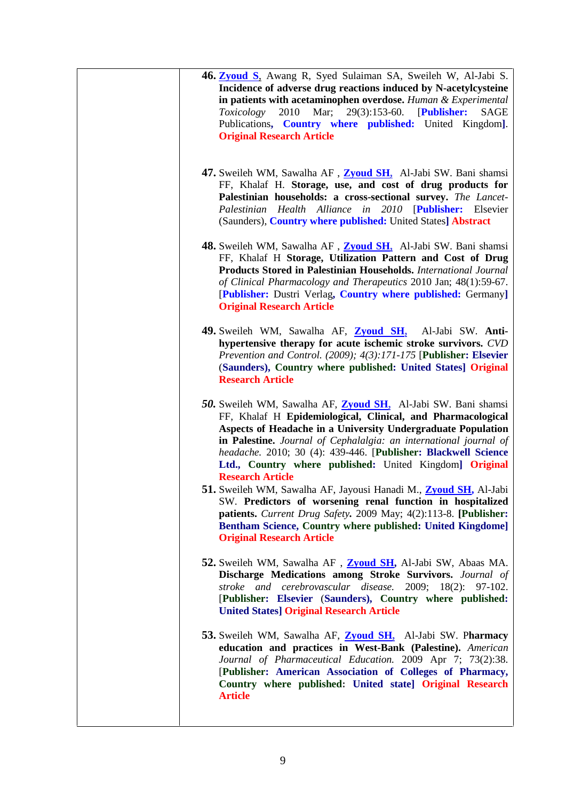| 46. Zyoud S. Awang R, Syed Sulaiman SA, Sweileh W, Al-Jabi S.<br>Incidence of adverse drug reactions induced by N-acetylcysteine<br>in patients with acetaminophen overdose. Human $&$ Experimental<br>2010<br>Mar; $29(3):153-60$ .<br>[Publisher:<br>Toxicology<br>SAGE<br>Publications, Country where published: United Kingdom].<br><b>Original Research Article</b>                                                          |  |
|-----------------------------------------------------------------------------------------------------------------------------------------------------------------------------------------------------------------------------------------------------------------------------------------------------------------------------------------------------------------------------------------------------------------------------------|--|
| 47. Sweileh WM, Sawalha AF, <b>Zyoud SH</b> , Al-Jabi SW. Bani shamsi<br>FF, Khalaf H. Storage, use, and cost of drug products for<br>Palestinian households: a cross-sectional survey. The Lancet-<br>Palestinian Health Alliance in 2010<br>[Publisher: Elsevier<br>(Saunders), Country where published: United States] Abstract                                                                                                |  |
| 48. Sweileh WM, Sawalha AF, Zyoud SH, Al-Jabi SW. Bani shamsi<br>FF, Khalaf H Storage, Utilization Pattern and Cost of Drug<br>Products Stored in Palestinian Households. International Journal<br>of Clinical Pharmacology and Therapeutics 2010 Jan; 48(1):59-67.<br>[Publisher: Dustri Verlag, Country where published: Germany]<br><b>Original Research Article</b>                                                           |  |
| 49. Sweileh WM, Sawalha AF, Zyoud SH,<br>Al-Jabi SW. Anti-<br>hypertensive therapy for acute ischemic stroke survivors. CVD<br>Prevention and Control. (2009); 4(3):171-175 [Publisher: Elsevier<br>(Saunders), Country where published: United States] Original<br><b>Research Article</b>                                                                                                                                       |  |
| 50. Sweileh WM, Sawalha AF, <b>Zyoud SH</b> , Al-Jabi SW. Bani shamsi<br>FF, Khalaf H Epidemiological, Clinical, and Pharmacological<br>Aspects of Headache in a University Undergraduate Population<br>in Palestine. Journal of Cephalalgia: an international journal of<br>headache. 2010; 30 (4): 439-446. [Publisher: Blackwell Science<br>Ltd., Country where published: United Kingdom] Original<br><b>Research Article</b> |  |
| 51. Sweileh WM, Sawalha AF, Jayousi Hanadi M., Zyoud SH, Al-Jabi<br>SW. Predictors of worsening renal function in hospitalized<br>patients. Current Drug Safety. 2009 May; 4(2):113-8. [Publisher:<br>Bentham Science, Country where published: United Kingdome]<br><b>Original Research Article</b>                                                                                                                              |  |
| 52. Sweileh WM, Sawalha AF, Zyoud SH, Al-Jabi SW, Abaas MA.<br>Discharge Medications among Stroke Survivors. Journal of<br>stroke and cerebrovascular disease. 2009; 18(2): 97-102.<br>[Publisher: Elsevier (Saunders), Country where published:<br><b>United States] Original Research Article</b>                                                                                                                               |  |
| 53. Sweileh WM, Sawalha AF, Zyoud SH, Al-Jabi SW. Pharmacy<br>education and practices in West-Bank (Palestine). American<br>Journal of Pharmaceutical Education. 2009 Apr 7; 73(2):38.<br>[Publisher: American Association of Colleges of Pharmacy,<br>Country where published: United state] Original Research<br><b>Article</b>                                                                                                 |  |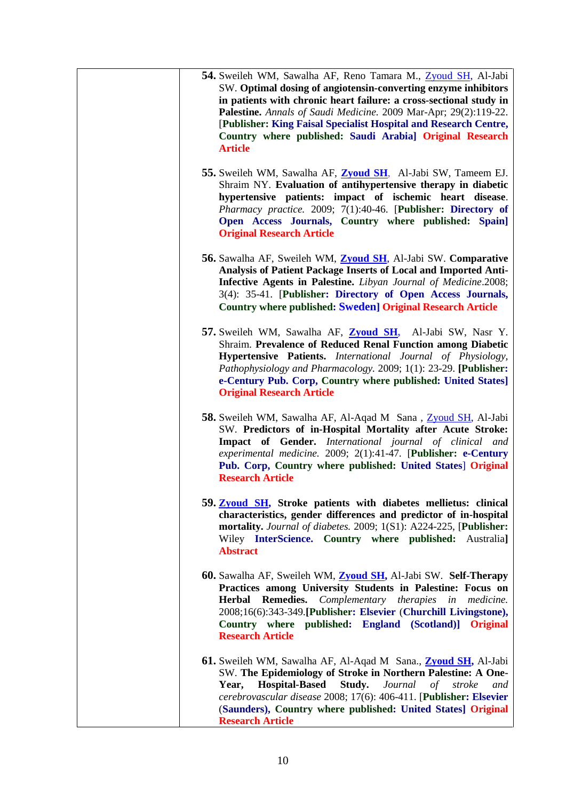| 54. Sweileh WM, Sawalha AF, Reno Tamara M., Zyoud SH, Al-Jabi<br>SW. Optimal dosing of angiotensin-converting enzyme inhibitors<br>in patients with chronic heart failure: a cross-sectional study in<br>Palestine. Annals of Saudi Medicine. 2009 Mar-Apr; 29(2):119-22.<br>[Publisher: King Faisal Specialist Hospital and Research Centre,<br>Country where published: Saudi Arabia] Original Research<br><b>Article</b> |
|-----------------------------------------------------------------------------------------------------------------------------------------------------------------------------------------------------------------------------------------------------------------------------------------------------------------------------------------------------------------------------------------------------------------------------|
| 55. Sweileh WM, Sawalha AF, <b>Zyoud SH</b> , Al-Jabi SW, Tameem EJ.<br>Shraim NY. Evaluation of antihypertensive therapy in diabetic<br>hypertensive patients: impact of ischemic heart disease.<br>Pharmacy practice. 2009; 7(1):40-46. [Publisher: Directory of<br>Open Access Journals, Country where published: Spain]<br><b>Original Research Article</b>                                                             |
| 56. Sawalha AF, Sweileh WM, <b>Zyoud SH</b> , Al-Jabi SW. Comparative<br>Analysis of Patient Package Inserts of Local and Imported Anti-<br><b>Infective Agents in Palestine.</b> Libyan Journal of Medicine.2008;<br>3(4): 35-41. [Publisher: Directory of Open Access Journals,<br><b>Country where published: Sweden] Original Research Article</b>                                                                      |
| 57. Sweileh WM, Sawalha AF, Zyoud SH, Al-Jabi SW, Nasr Y.<br>Shraim. Prevalence of Reduced Renal Function among Diabetic<br>Hypertensive Patients. International Journal of Physiology,<br>Pathophysiology and Pharmacology. 2009; 1(1): 23-29. [Publisher:<br>e-Century Pub. Corp, Country where published: United States]<br><b>Original Research Article</b>                                                             |
| 58. Sweileh WM, Sawalha AF, Al-Aqad M Sana, Zyoud SH, Al-Jabi<br>SW. Predictors of in-Hospital Mortality after Acute Stroke:<br>Impact of Gender. International journal of clinical and<br>experimental medicine. 2009; 2(1):41-47. [Publisher: e-Century<br>Pub. Corp, Country where published: United States   Original<br><b>Research Article</b>                                                                        |
| 59. <b>Zyoud SH</b> , Stroke patients with diabetes mellietus: clinical<br>characteristics, gender differences and predictor of in-hospital<br>mortality. Journal of diabetes. 2009; 1(S1): A224-225, [Publisher:<br>Wiley InterScience. Country where published: Australia]<br><b>Abstract</b>                                                                                                                             |
| 60. Sawalha AF, Sweileh WM, Zyoud SH, Al-Jabi SW. Self-Therapy<br>Practices among University Students in Palestine: Focus on<br><b>Remedies.</b><br>Complementary therapies in medicine.<br><b>Herbal</b><br>2008;16(6):343-349. [Publisher: Elsevier (Churchill Livingstone),<br>Country where published: England (Scotland)] Original<br><b>Research Article</b>                                                          |
| 61. Sweileh WM, Sawalha AF, Al-Aqad M Sana., <b>Zyoud SH</b> , Al-Jabi<br>SW. The Epidemiology of Stroke in Northern Palestine: A One-<br><b>Hospital-Based</b><br>Study.<br>Journal of stroke<br>Year,<br>and<br>cerebrovascular disease 2008; 17(6): 406-411. [Publisher: Elsevier<br>(Saunders), Country where published: United States] Original<br><b>Research Article</b>                                             |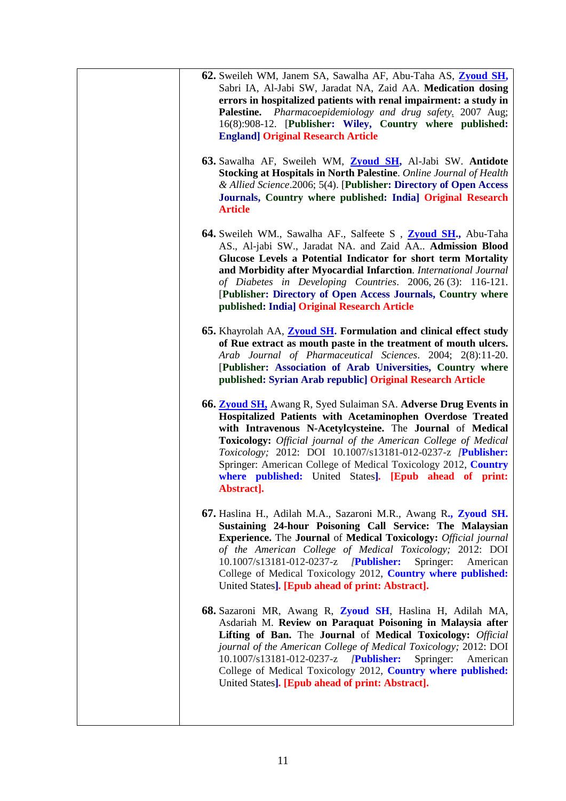| 62. Sweileh WM, Janem SA, Sawalha AF, Abu-Taha AS, Zyoud SH,<br>Sabri IA, Al-Jabi SW, Jaradat NA, Zaid AA. Medication dosing<br>errors in hospitalized patients with renal impairment: a study in<br>Palestine. Pharmacoepidemiology and drug safety. 2007 Aug;<br>16(8):908-12. [Publisher: Wiley, Country where published:<br><b>England] Original Research Article</b>                                                                                                           |
|-------------------------------------------------------------------------------------------------------------------------------------------------------------------------------------------------------------------------------------------------------------------------------------------------------------------------------------------------------------------------------------------------------------------------------------------------------------------------------------|
| 63. Sawalha AF, Sweileh WM, Zyoud SH, Al-Jabi SW. Antidote<br>Stocking at Hospitals in North Palestine. Online Journal of Health<br>& Allied Science.2006; 5(4). [Publisher: Directory of Open Access<br>Journals, Country where published: India] Original Research<br><b>Article</b>                                                                                                                                                                                              |
| 64. Sweileh WM., Sawalha AF., Salfeete S , Zyoud SH., Abu-Taha<br>AS., Al-jabi SW., Jaradat NA. and Zaid AA Admission Blood<br>Glucose Levels a Potential Indicator for short term Mortality<br>and Morbidity after Myocardial Infarction. International Journal<br>of Diabetes in Developing Countries. 2006, 26 (3): 116-121.<br>[Publisher: Directory of Open Access Journals, Country where<br>published: India] Original Research Article                                      |
| 65. Khayrolah AA, <b>Zyoud SH</b> . Formulation and clinical effect study<br>of Rue extract as mouth paste in the treatment of mouth ulcers.<br>Arab Journal of Pharmaceutical Sciences. 2004; 2(8):11-20.<br>[Publisher: Association of Arab Universities, Country where<br>published: Syrian Arab republic] Original Research Article                                                                                                                                             |
| <b>66. Zyoud SH,</b> Awang R, Syed Sulaiman SA. Adverse Drug Events in<br>Hospitalized Patients with Acetaminophen Overdose Treated<br>with Intravenous N-Acetylcysteine. The Journal of Medical<br><b>Toxicology:</b> Official journal of the American College of Medical<br>Toxicology; 2012: DOI 10.1007/s13181-012-0237-z /Publisher:<br>Springer: American College of Medical Toxicology 2012, Country<br>where published: United States]. [Epub ahead of print:<br>Abstract]. |
| 67. Haslina H., Adilah M.A., Sazaroni M.R., Awang R., Zyoud SH.<br>Sustaining 24-hour Poisoning Call Service: The Malaysian<br><b>Experience.</b> The Journal of Medical Toxicology: Official journal<br>of the American College of Medical Toxicology; 2012: DOI<br>10.1007/s13181-012-0237-z /Publisher:<br>Springer:<br>American<br>College of Medical Toxicology 2012, Country where published:<br>United States]. [Epub ahead of print: Abstract].                             |
| 68. Sazaroni MR, Awang R, Zyoud SH, Haslina H, Adilah MA,<br>Asdariah M. Review on Paraquat Poisoning in Malaysia after<br>Lifting of Ban. The Journal of Medical Toxicology: Official<br>journal of the American College of Medical Toxicology; 2012: DOI<br>10.1007/s13181-012-0237-z <i>[Publisher:</i><br>Springer:<br>American<br>College of Medical Toxicology 2012, Country where published:<br>United States]. [Epub ahead of print: Abstract].                             |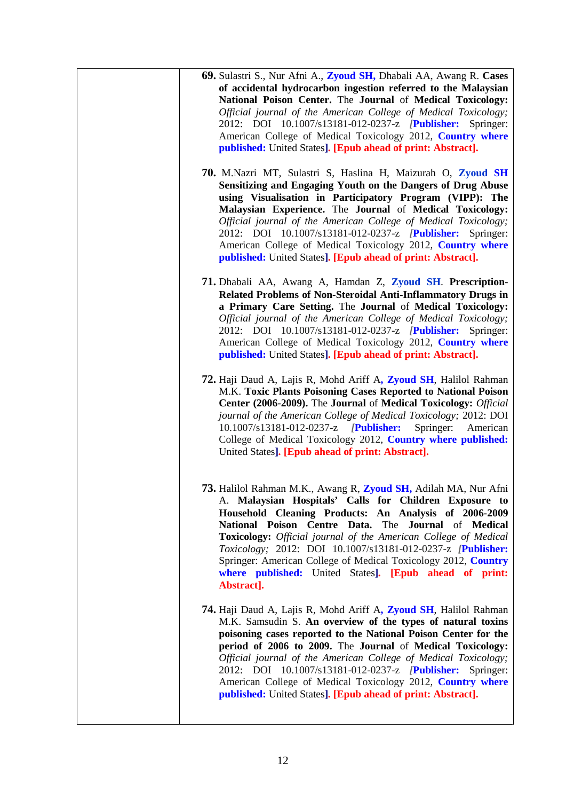| 69. Sulastri S., Nur Afni A., Zyoud SH, Dhabali AA, Awang R. Cases<br>of accidental hydrocarbon ingestion referred to the Malaysian<br>National Poison Center. The Journal of Medical Toxicology:<br>Official journal of the American College of Medical Toxicology;<br>2012: DOI 10.1007/s13181-012-0237-z <i>[Publisher: Springer:</i><br>American College of Medical Toxicology 2012, Country where<br>published: United States]. [Epub ahead of print: Abstract].                                                                  |
|----------------------------------------------------------------------------------------------------------------------------------------------------------------------------------------------------------------------------------------------------------------------------------------------------------------------------------------------------------------------------------------------------------------------------------------------------------------------------------------------------------------------------------------|
| 70. M.Nazri MT, Sulastri S, Haslina H, Maizurah O, Zyoud SH<br>Sensitizing and Engaging Youth on the Dangers of Drug Abuse<br>using Visualisation in Participatory Program (VIPP): The<br>Malaysian Experience. The Journal of Medical Toxicology:<br>Official journal of the American College of Medical Toxicology;<br>2012: DOI 10.1007/s13181-012-0237-z /Publisher: Springer:<br>American College of Medical Toxicology 2012, Country where<br>published: United States]. [Epub ahead of print: Abstract].                        |
| 71. Dhabali AA, Awang A, Hamdan Z, Zyoud SH. Prescription-<br>Related Problems of Non-Steroidal Anti-Inflammatory Drugs in<br>a Primary Care Setting. The Journal of Medical Toxicology:<br>Official journal of the American College of Medical Toxicology;<br>2012: DOI 10.1007/s13181-012-0237-z <b>Publisher:</b> Springer:<br>American College of Medical Toxicology 2012, Country where<br>published: United States]. [Epub ahead of print: Abstract].                                                                            |
| 72. Haji Daud A, Lajis R, Mohd Ariff A, Zyoud SH, Halilol Rahman<br>M.K. Toxic Plants Poisoning Cases Reported to National Poison<br>Center (2006-2009). The Journal of Medical Toxicology: Official<br>journal of the American College of Medical Toxicology; 2012: DOI<br>10.1007/s13181-012-0237-z <i>[Publisher:</i><br>Springer:<br>American<br>College of Medical Toxicology 2012, Country where published:<br>United States]. [Epub ahead of print: Abstract].                                                                  |
| 73. Halilol Rahman M.K., Awang R, Zyoud SH, Adilah MA, Nur Afni<br>A. Malaysian Hospitals' Calls for Children Exposure to<br>Household Cleaning Products: An Analysis of 2006-2009<br>National Poison Centre Data. The Journal of Medical<br>Toxicology: Official journal of the American College of Medical<br>Toxicology; 2012: DOI 10.1007/s13181-012-0237-z /Publisher:<br>Springer: American College of Medical Toxicology 2012, Country<br>where published: United States]. [Epub ahead of print:<br>Abstract].                  |
| 74. Haji Daud A, Lajis R, Mohd Ariff A, Zyoud SH, Halilol Rahman<br>M.K. Samsudin S. An overview of the types of natural toxins<br>poisoning cases reported to the National Poison Center for the<br>period of 2006 to 2009. The Journal of Medical Toxicology:<br>Official journal of the American College of Medical Toxicology;<br>2012: DOI 10.1007/s13181-012-0237-z <i>[Publisher:</i><br>Springer:<br>American College of Medical Toxicology 2012, Country where<br>published: United States]. [Epub ahead of print: Abstract]. |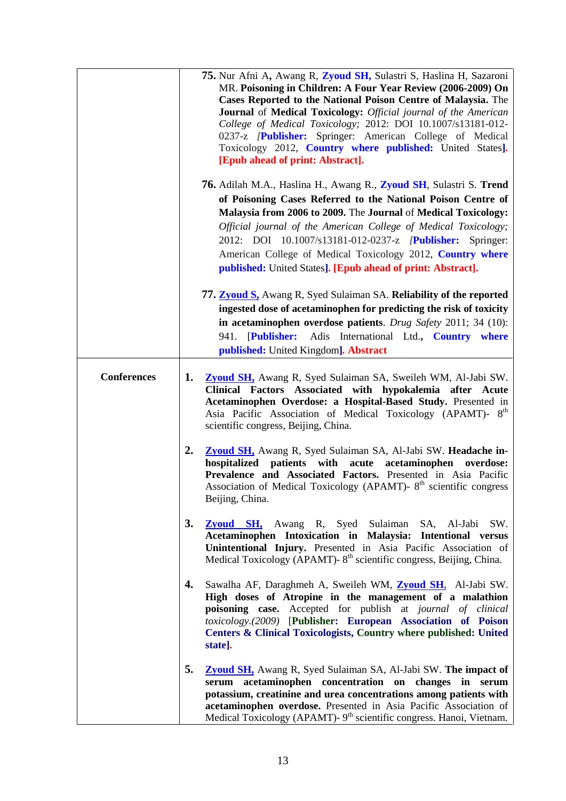|                    | 75. Nur Afni A, Awang R, Zyoud SH, Sulastri S, Haslina H, Sazaroni<br>MR. Poisoning in Children: A Four Year Review (2006-2009) On<br>Cases Reported to the National Poison Centre of Malaysia. The<br>Journal of Medical Toxicology: Official journal of the American<br>College of Medical Toxicology; 2012: DOI 10.1007/s13181-012-<br>0237-z <i>[Publisher: Springer: American College of Medical</i><br>Toxicology 2012, Country where published: United States].<br>[Epub ahead of print: Abstract]. |
|--------------------|------------------------------------------------------------------------------------------------------------------------------------------------------------------------------------------------------------------------------------------------------------------------------------------------------------------------------------------------------------------------------------------------------------------------------------------------------------------------------------------------------------|
|                    | 76. Adilah M.A., Haslina H., Awang R., Zyoud SH, Sulastri S. Trend<br>of Poisoning Cases Referred to the National Poison Centre of<br>Malaysia from 2006 to 2009. The Journal of Medical Toxicology:<br>Official journal of the American College of Medical Toxicology;<br>2012: DOI 10.1007/s13181-012-0237-z <i>[Publisher: Springer:</i><br>American College of Medical Toxicology 2012, Country where<br>published: United States]. [Epub ahead of print: Abstract].                                   |
|                    | 77. <b>Zyoud S</b> , Awang R, Syed Sulaiman SA. Reliability of the reported<br>ingested dose of acetaminophen for predicting the risk of toxicity<br>in acetaminophen overdose patients. Drug Safety 2011; 34 (10):<br>941. [Publisher: Adis International Ltd., Country where<br>published: United Kingdom]. Abstract                                                                                                                                                                                     |
| <b>Conferences</b> | Zyoud SH, Awang R, Syed Sulaiman SA, Sweileh WM, Al-Jabi SW.<br>1.<br>Clinical Factors Associated with hypokalemia after Acute<br>Acetaminophen Overdose: a Hospital-Based Study. Presented in<br>Asia Pacific Association of Medical Toxicology (APAMT)- 8 <sup>th</sup><br>scientific congress, Beijing, China.                                                                                                                                                                                          |
|                    | 2.<br>Zyoud SH, Awang R, Syed Sulaiman SA, Al-Jabi SW. Headache in-<br>hospitalized patients with acute acetaminophen overdose:<br>Prevalence and Associated Factors. Presented in Asia Pacific<br>Association of Medical Toxicology (APAMT)- 8 <sup>th</sup> scientific congress<br>Beijing, China.                                                                                                                                                                                                       |
|                    | 3.<br>Zyoud SH, Awang R, Syed Sulaiman SA, Al-Jabi SW.<br>Acetaminophen Intoxication in Malaysia: Intentional versus<br>Unintentional Injury. Presented in Asia Pacific Association of<br>Medical Toxicology (APAMT)-8 <sup>th</sup> scientific congress, Beijing, China.                                                                                                                                                                                                                                  |
|                    | 4.<br>Sawalha AF, Daraghmeh A, Sweileh WM, Zyoud SH, Al-Jabi SW.<br>High doses of Atropine in the management of a malathion<br>poisoning case. Accepted for publish at journal of clinical<br>toxicology.(2009) [Publisher: European Association of Poison<br>Centers & Clinical Toxicologists, Country where published: United<br>state].                                                                                                                                                                 |
|                    | 5.<br><b>Zyoud SH</b> , Awang R, Syed Sulaiman SA, Al-Jabi SW. The impact of<br>serum acetaminophen concentration on changes in serum<br>potassium, creatinine and urea concentrations among patients with<br>acetaminophen overdose. Presented in Asia Pacific Association of<br>Medical Toxicology (APAMT)- 9 <sup>th</sup> scientific congress. Hanoi, Vietnam.                                                                                                                                         |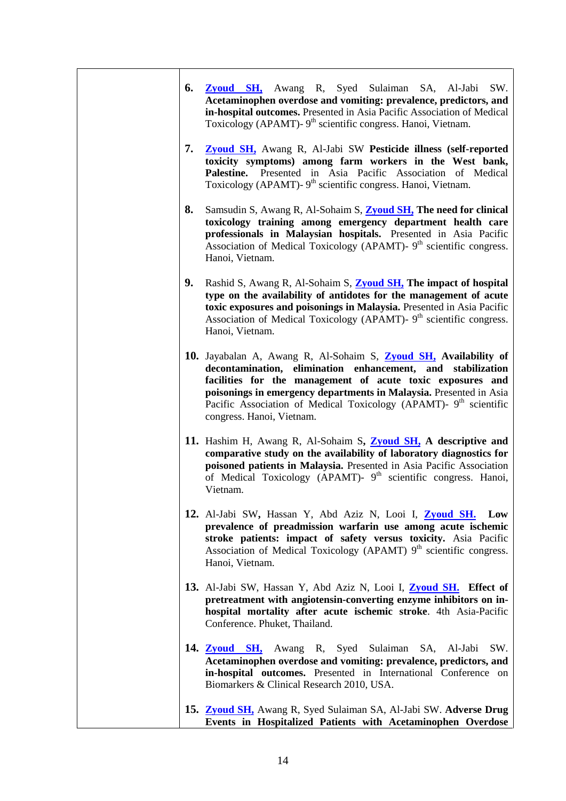| 6. | <b>Zyoud SH</b> , Awang R, Syed Sulaiman SA, Al-Jabi<br>SW.<br>Acetaminophen overdose and vomiting: prevalence, predictors, and<br>in-hospital outcomes. Presented in Asia Pacific Association of Medical<br>Toxicology (APAMT)- 9 <sup>th</sup> scientific congress. Hanoi, Vietnam.                                                                                             |
|----|-----------------------------------------------------------------------------------------------------------------------------------------------------------------------------------------------------------------------------------------------------------------------------------------------------------------------------------------------------------------------------------|
| 7. | <b>Zyoud SH</b> , Awang R, Al-Jabi SW Pesticide illness (self-reported<br>toxicity symptoms) among farm workers in the West bank,<br>Palestine. Presented in Asia Pacific Association of Medical<br>Toxicology (APAMT)- 9 <sup>th</sup> scientific congress. Hanoi, Vietnam.                                                                                                      |
| 8. | Samsudin S, Awang R, Al-Sohaim S, <b>Zyoud SH</b> , The need for clinical<br>toxicology training among emergency department health care<br>professionals in Malaysian hospitals. Presented in Asia Pacific<br>Association of Medical Toxicology (APAMT)- 9 <sup>th</sup> scientific congress.<br>Hanoi, Vietnam.                                                                  |
| 9. | Rashid S, Awang R, Al-Sohaim S, <b>Zyoud SH</b> , The impact of hospital<br>type on the availability of antidotes for the management of acute<br>toxic exposures and poisonings in Malaysia. Presented in Asia Pacific<br>Association of Medical Toxicology (APAMT)- 9 <sup>th</sup> scientific congress.<br>Hanoi, Vietnam.                                                      |
|    | 10. Jayabalan A, Awang R, Al-Sohaim S, Zyoud SH, Availability of<br>decontamination, elimination enhancement, and stabilization<br>facilities for the management of acute toxic exposures and<br>poisonings in emergency departments in Malaysia. Presented in Asia<br>Pacific Association of Medical Toxicology (APAMT)- 9 <sup>th</sup> scientific<br>congress. Hanoi, Vietnam. |
|    | 11. Hashim H, Awang R, Al-Sohaim S, Zyoud SH, A descriptive and<br>comparative study on the availability of laboratory diagnostics for<br>poisoned patients in Malaysia. Presented in Asia Pacific Association<br>of Medical Toxicology (APAMT)- 9 <sup>th</sup> scientific congress. Hanoi,<br>Vietnam.                                                                          |
|    | 12. Al-Jabi SW, Hassan Y, Abd Aziz N, Looi I, Zyoud SH. Low<br>prevalence of preadmission warfarin use among acute ischemic<br>stroke patients: impact of safety versus toxicity. Asia Pacific<br>Association of Medical Toxicology (APAMT) 9 <sup>th</sup> scientific congress.<br>Hanoi, Vietnam.                                                                               |
|    | 13. Al-Jabi SW, Hassan Y, Abd Aziz N, Looi I, <b>Zyoud SH.</b> Effect of<br>pretreatment with angiotensin-converting enzyme inhibitors on in-<br>hospital mortality after acute ischemic stroke. 4th Asia-Pacific<br>Conference. Phuket, Thailand.                                                                                                                                |
|    | 14. <b>Zyoud SH</b> , Awang R, Syed Sulaiman SA, Al-Jabi<br>SW.<br>Acetaminophen overdose and vomiting: prevalence, predictors, and<br>in-hospital outcomes. Presented in International Conference on<br>Biomarkers & Clinical Research 2010, USA.                                                                                                                                |
|    | 15. <b>Zyoud SH</b> , Awang R, Syed Sulaiman SA, Al-Jabi SW. Adverse Drug<br>Events in Hospitalized Patients with Acetaminophen Overdose                                                                                                                                                                                                                                          |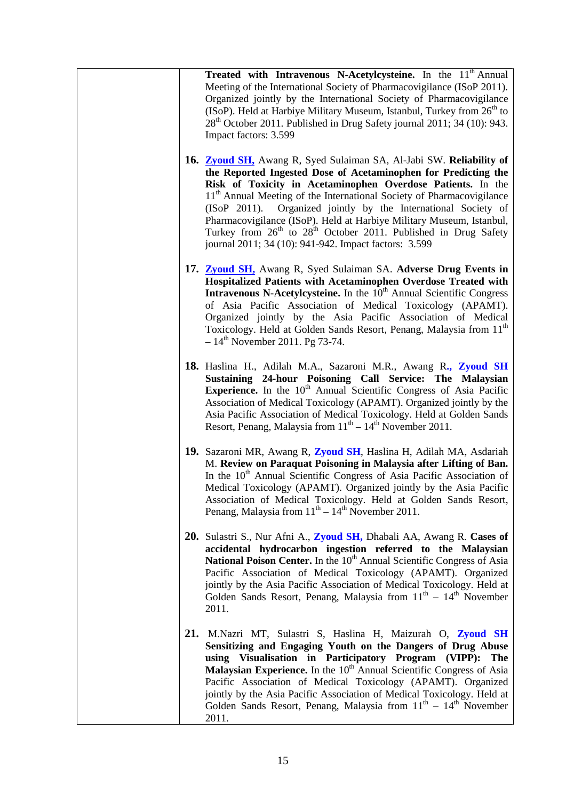| Treated with Intravenous N-Acetylcysteine. In the 11 <sup>th</sup> Annual<br>Meeting of the International Society of Pharmacovigilance (ISoP 2011).<br>Organized jointly by the International Society of Pharmacovigilance<br>(ISoP). Held at Harbiye Military Museum, Istanbul, Turkey from 26 <sup>th</sup> to<br>28 <sup>th</sup> October 2011. Published in Drug Safety journal 2011; 34 (10): 943.<br>Impact factors: 3.599                                                                                                                                                           |  |
|--------------------------------------------------------------------------------------------------------------------------------------------------------------------------------------------------------------------------------------------------------------------------------------------------------------------------------------------------------------------------------------------------------------------------------------------------------------------------------------------------------------------------------------------------------------------------------------------|--|
| 16. Zyoud SH, Awang R, Syed Sulaiman SA, Al-Jabi SW. Reliability of<br>the Reported Ingested Dose of Acetaminophen for Predicting the<br>Risk of Toxicity in Acetaminophen Overdose Patients. In the<br>11 <sup>th</sup> Annual Meeting of the International Society of Pharmacovigilance<br>(ISOP 2011).<br>Organized jointly by the International Society of<br>Pharmacovigilance (ISoP). Held at Harbiye Military Museum, Istanbul,<br>Turkey from 26 <sup>th</sup> to 28 <sup>th</sup> October 2011. Published in Drug Safety<br>journal 2011; 34 (10): 941-942. Impact factors: 3.599 |  |
| 17. Zyoud SH, Awang R, Syed Sulaiman SA. Adverse Drug Events in<br>Hospitalized Patients with Acetaminophen Overdose Treated with<br>Intravenous N-Acetylcysteine. In the 10 <sup>th</sup> Annual Scientific Congress<br>of Asia Pacific Association of Medical Toxicology (APAMT).<br>Organized jointly by the Asia Pacific Association of Medical<br>Toxicology. Held at Golden Sands Resort, Penang, Malaysia from 11 <sup>th</sup><br>$-14^{\text{th}}$ November 2011. Pg 73-74.                                                                                                       |  |
| 18. Haslina H., Adilah M.A., Sazaroni M.R., Awang R., Zyoud SH<br>Sustaining 24-hour Poisoning Call Service: The Malaysian<br><b>Experience.</b> In the 10 <sup>th</sup> Annual Scientific Congress of Asia Pacific<br>Association of Medical Toxicology (APAMT). Organized jointly by the<br>Asia Pacific Association of Medical Toxicology. Held at Golden Sands<br>Resort, Penang, Malaysia from $11^{th} - 14^{th}$ November 2011.                                                                                                                                                     |  |
| 19. Sazaroni MR, Awang R, Zyoud SH, Haslina H, Adilah MA, Asdariah<br>M. Review on Paraquat Poisoning in Malaysia after Lifting of Ban.<br>In the 10 <sup>th</sup> Annual Scientific Congress of Asia Pacific Association of<br>Medical Toxicology (APAMT). Organized jointly by the Asia Pacific<br>Association of Medical Toxicology. Held at Golden Sands Resort,<br>Penang, Malaysia from $11^{th} - 14^{th}$ November 2011.                                                                                                                                                           |  |
| 20. Sulastri S., Nur Afni A., Zyoud SH, Dhabali AA, Awang R. Cases of<br>accidental hydrocarbon ingestion referred to the Malaysian<br>National Poison Center. In the 10 <sup>th</sup> Annual Scientific Congress of Asia<br>Pacific Association of Medical Toxicology (APAMT). Organized<br>jointly by the Asia Pacific Association of Medical Toxicology. Held at<br>Golden Sands Resort, Penang, Malaysia from $11th - 14th$ November<br>2011.                                                                                                                                          |  |
| 21. M.Nazri MT, Sulastri S, Haslina H, Maizurah O, Zyoud SH<br>Sensitizing and Engaging Youth on the Dangers of Drug Abuse<br>using Visualisation in Participatory Program (VIPP): The<br>Malaysian Experience. In the 10 <sup>th</sup> Annual Scientific Congress of Asia<br>Pacific Association of Medical Toxicology (APAMT). Organized<br>jointly by the Asia Pacific Association of Medical Toxicology. Held at<br>Golden Sands Resort, Penang, Malaysia from $11th - 14th$ November<br>2011.                                                                                         |  |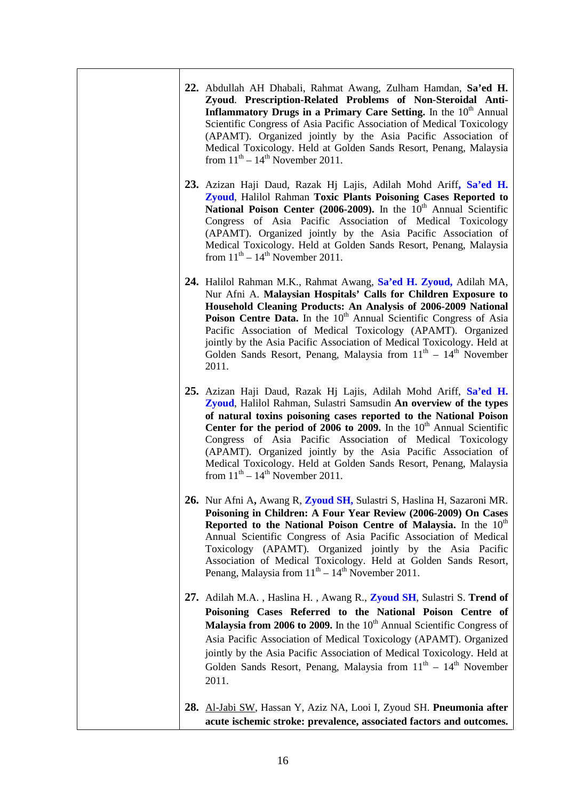| 22. Abdullah AH Dhabali, Rahmat Awang, Zulham Hamdan, Sa'ed H.<br>Zyoud. Prescription-Related Problems of Non-Steroidal Anti-<br>Inflammatory Drugs in a Primary Care Setting. In the 10 <sup>th</sup> Annual<br>Scientific Congress of Asia Pacific Association of Medical Toxicology<br>(APAMT). Organized jointly by the Asia Pacific Association of<br>Medical Toxicology. Held at Golden Sands Resort, Penang, Malaysia<br>from $11th - 14th$ November 2011.                                                              |
|--------------------------------------------------------------------------------------------------------------------------------------------------------------------------------------------------------------------------------------------------------------------------------------------------------------------------------------------------------------------------------------------------------------------------------------------------------------------------------------------------------------------------------|
| 23. Azizan Haji Daud, Razak Hj Lajis, Adilah Mohd Ariff, Sa'ed H.<br><b>Zyoud</b> , Halilol Rahman Toxic Plants Poisoning Cases Reported to<br>National Poison Center (2006-2009). In the 10 <sup>th</sup> Annual Scientific<br>Congress of Asia Pacific Association of Medical Toxicology<br>(APAMT). Organized jointly by the Asia Pacific Association of<br>Medical Toxicology. Held at Golden Sands Resort, Penang, Malaysia<br>from $11th - 14th$ November 2011.                                                          |
| 24. Halilol Rahman M.K., Rahmat Awang, Sa'ed H. Zyoud, Adilah MA,<br>Nur Afni A. Malaysian Hospitals' Calls for Children Exposure to<br>Household Cleaning Products: An Analysis of 2006-2009 National<br>Poison Centre Data. In the 10 <sup>th</sup> Annual Scientific Congress of Asia<br>Pacific Association of Medical Toxicology (APAMT). Organized<br>jointly by the Asia Pacific Association of Medical Toxicology. Held at<br>Golden Sands Resort, Penang, Malaysia from $11th - 14th$ November<br>2011.               |
| 25. Azizan Haji Daud, Razak Hj Lajis, Adilah Mohd Ariff, Sa'ed H.<br>Zyoud, Halilol Rahman, Sulastri Samsudin An overview of the types<br>of natural toxins poisoning cases reported to the National Poison<br>Center for the period of 2006 to 2009. In the $10th$ Annual Scientific<br>Congress of Asia Pacific Association of Medical Toxicology<br>(APAMT). Organized jointly by the Asia Pacific Association of<br>Medical Toxicology. Held at Golden Sands Resort, Penang, Malaysia<br>from $11th - 14th$ November 2011. |
| 26. Nur Afni A, Awang R, Zyoud SH, Sulastri S, Haslina H, Sazaroni MR.<br>Poisoning in Children: A Four Year Review (2006-2009) On Cases<br>Reported to the National Poison Centre of Malaysia. In the 10 <sup>th</sup><br>Annual Scientific Congress of Asia Pacific Association of Medical<br>Toxicology (APAMT). Organized jointly by the Asia Pacific<br>Association of Medical Toxicology. Held at Golden Sands Resort,<br>Penang, Malaysia from $11th - 14th$ November 2011.                                             |
| 27. Adilah M.A., Haslina H., Awang R., Zyoud SH, Sulastri S. Trend of<br>Poisoning Cases Referred to the National Poison Centre of<br><b>Malaysia from 2006 to 2009.</b> In the $10th$ Annual Scientific Congress of<br>Asia Pacific Association of Medical Toxicology (APAMT). Organized<br>jointly by the Asia Pacific Association of Medical Toxicology. Held at<br>Golden Sands Resort, Penang, Malaysia from $11th - 14th$ November<br>2011.                                                                              |
| 28. Al-Jabi SW, Hassan Y, Aziz NA, Looi I, Zyoud SH. Pneumonia after<br>acute ischemic stroke: prevalence, associated factors and outcomes.                                                                                                                                                                                                                                                                                                                                                                                    |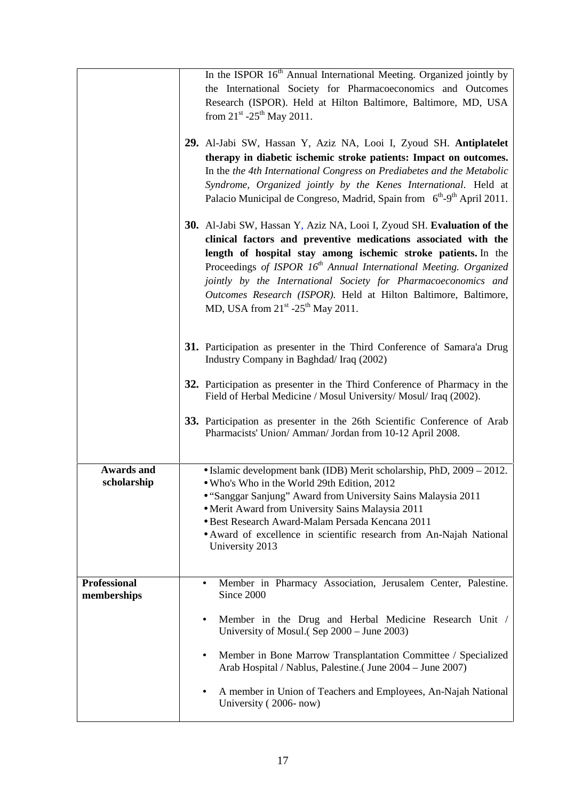|                                    | In the ISPOR 16 <sup>th</sup> Annual International Meeting. Organized jointly by<br>the International Society for Pharmacoeconomics and Outcomes<br>Research (ISPOR). Held at Hilton Baltimore, Baltimore, MD, USA<br>from $21^{st}$ -25 <sup>th</sup> May 2011.<br>29. Al-Jabi SW, Hassan Y, Aziz NA, Looi I, Zyoud SH. Antiplatelet<br>therapy in diabetic ischemic stroke patients: Impact on outcomes.<br>In the the 4th International Congress on Prediabetes and the Metabolic<br>Syndrome, Organized jointly by the Kenes International. Held at<br>Palacio Municipal de Congreso, Madrid, Spain from 6 <sup>th</sup> -9 <sup>th</sup> April 2011. |
|------------------------------------|-----------------------------------------------------------------------------------------------------------------------------------------------------------------------------------------------------------------------------------------------------------------------------------------------------------------------------------------------------------------------------------------------------------------------------------------------------------------------------------------------------------------------------------------------------------------------------------------------------------------------------------------------------------|
|                                    | 30. Al-Jabi SW, Hassan Y, Aziz NA, Looi I, Zyoud SH. Evaluation of the<br>clinical factors and preventive medications associated with the<br>length of hospital stay among ischemic stroke patients. In the<br>Proceedings of ISPOR 16 <sup>th</sup> Annual International Meeting. Organized<br>jointly by the International Society for Pharmacoeconomics and<br>Outcomes Research (ISPOR). Held at Hilton Baltimore, Baltimore,<br>MD, USA from $21st - 25th$ May 2011.                                                                                                                                                                                 |
|                                    | 31. Participation as presenter in the Third Conference of Samara'a Drug<br>Industry Company in Baghdad/Iraq (2002)<br>32. Participation as presenter in the Third Conference of Pharmacy in the<br>Field of Herbal Medicine / Mosul University/ Mosul/ Iraq (2002).<br>33. Participation as presenter in the 26th Scientific Conference of Arab<br>Pharmacists' Union/ Amman/ Jordan from 10-12 April 2008.                                                                                                                                                                                                                                               |
| <b>Awards and</b><br>scholarship   | • Islamic development bank (IDB) Merit scholarship, PhD, $2009 - 2012$ .<br>• Who's Who in the World 29th Edition, 2012<br>• "Sanggar Sanjung" Award from University Sains Malaysia 2011<br>• Merit Award from University Sains Malaysia 2011<br>· Best Research Award-Malam Persada Kencana 2011<br>• Award of excellence in scientific research from An-Najah National<br>University 2013                                                                                                                                                                                                                                                               |
| <b>Professional</b><br>memberships | Member in Pharmacy Association, Jerusalem Center, Palestine.<br>$\bullet$<br>Since 2000<br>Member in the Drug and Herbal Medicine Research Unit /<br>٠<br>University of Mosul. (Sep 2000 – June 2003)<br>Member in Bone Marrow Transplantation Committee / Specialized<br>٠<br>Arab Hospital / Nablus, Palestine. (June 2004 – June 2007)<br>A member in Union of Teachers and Employees, An-Najah National<br>٠<br>University (2006-now)                                                                                                                                                                                                                 |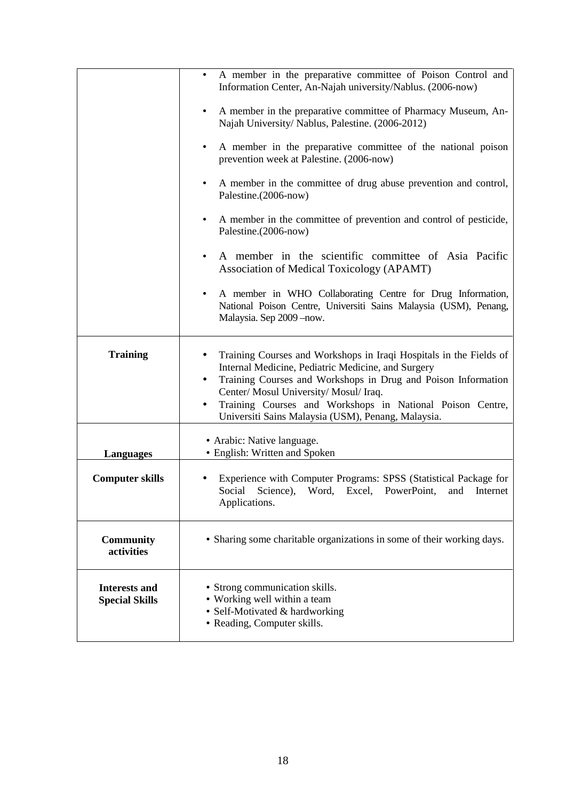|                                               | A member in the preparative committee of Poison Control and<br>$\bullet$<br>Information Center, An-Najah university/Nablus. (2006-now)                                                                                                                                                                                                                           |
|-----------------------------------------------|------------------------------------------------------------------------------------------------------------------------------------------------------------------------------------------------------------------------------------------------------------------------------------------------------------------------------------------------------------------|
|                                               | A member in the preparative committee of Pharmacy Museum, An-<br>Najah University/ Nablus, Palestine. (2006-2012)                                                                                                                                                                                                                                                |
|                                               | A member in the preparative committee of the national poison<br>٠<br>prevention week at Palestine. (2006-now)                                                                                                                                                                                                                                                    |
|                                               | A member in the committee of drug abuse prevention and control,<br>٠<br>Palestine.(2006-now)                                                                                                                                                                                                                                                                     |
|                                               | A member in the committee of prevention and control of pesticide,<br>Palestine.(2006-now)                                                                                                                                                                                                                                                                        |
|                                               | A member in the scientific committee of Asia Pacific<br>Association of Medical Toxicology (APAMT)                                                                                                                                                                                                                                                                |
|                                               | A member in WHO Collaborating Centre for Drug Information,<br>National Poison Centre, Universiti Sains Malaysia (USM), Penang,<br>Malaysia. Sep 2009 - now.                                                                                                                                                                                                      |
| <b>Training</b>                               | Training Courses and Workshops in Iraqi Hospitals in the Fields of<br>٠<br>Internal Medicine, Pediatric Medicine, and Surgery<br>Training Courses and Workshops in Drug and Poison Information<br>٠<br>Center/ Mosul University/ Mosul/ Iraq.<br>Training Courses and Workshops in National Poison Centre,<br>Universiti Sains Malaysia (USM), Penang, Malaysia. |
| <b>Languages</b>                              | • Arabic: Native language.<br>• English: Written and Spoken                                                                                                                                                                                                                                                                                                      |
| <b>Computer skills</b>                        | Experience with Computer Programs: SPSS (Statistical Package for<br>Social Science), Word, Excel, PowerPoint, and Internet<br>Applications.                                                                                                                                                                                                                      |
| <b>Community</b><br>activities                | • Sharing some charitable organizations in some of their working days.                                                                                                                                                                                                                                                                                           |
| <b>Interests and</b><br><b>Special Skills</b> | • Strong communication skills.<br>• Working well within a team<br>• Self-Motivated & hardworking<br>• Reading, Computer skills.                                                                                                                                                                                                                                  |